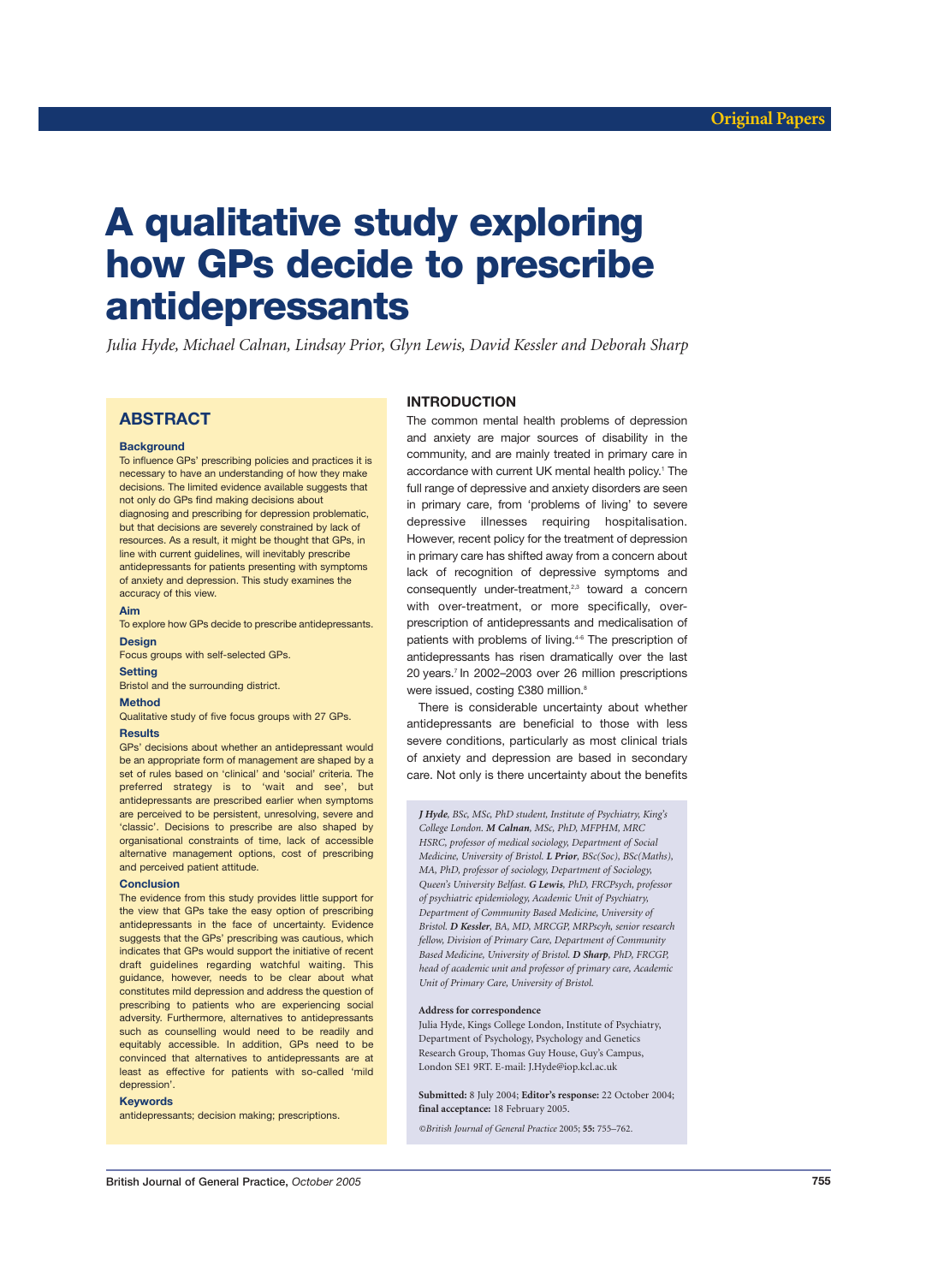# **A qualitative study exploring how GPs decide to prescribe antidepressants**

*Julia Hyde, Michael Calnan, Lindsay Prior, Glyn Lewis, David Kessler and Deborah Sharp*

# **ABSTRACT**

#### **Background**

To influence GPs' prescribing policies and practices it is necessary to have an understanding of how they make decisions. The limited evidence available suggests that not only do GPs find making decisions about diagnosing and prescribing for depression problematic, but that decisions are severely constrained by lack of resources. As a result, it might be thought that GPs, in line with current guidelines, will inevitably prescribe antidepressants for patients presenting with symptoms of anxiety and depression. This study examines the accuracy of this view.

#### **Aim**

To explore how GPs decide to prescribe antidepressants. **Design**

Focus groups with self-selected GPs.

# **Setting**

Bristol and the surrounding district.

#### **Method**

Qualitative study of five focus groups with 27 GPs.

# **Results**

GPs' decisions about whether an antidepressant would be an appropriate form of management are shaped by a set of rules based on 'clinical' and 'social' criteria. The preferred strategy is to 'wait and see', but antidepressants are prescribed earlier when symptoms are perceived to be persistent, unresolving, severe and 'classic'. Decisions to prescribe are also shaped by organisational constraints of time, lack of accessible alternative management options, cost of prescribing and perceived patient attitude.

#### **Conclusion**

The evidence from this study provides little support for the view that GPs take the easy option of prescribing antidepressants in the face of uncertainty. Evidence suggests that the GPs' prescribing was cautious, which indicates that GPs would support the initiative of recent draft guidelines regarding watchful waiting. This guidance, however, needs to be clear about what constitutes mild depression and address the question of prescribing to patients who are experiencing social adversity. Furthermore, alternatives to antidepressants such as counselling would need to be readily and equitably accessible. In addition, GPs need to be convinced that alternatives to antidepressants are at least as effective for patients with so-called 'mild depression'.

### **Keywords**

antidepressants; decision making; prescriptions.

# **INTRODUCTION**

The common mental health problems of depression and anxiety are major sources of disability in the community, and are mainly treated in primary care in accordance with current UK mental health policy.<sup>1</sup> The full range of depressive and anxiety disorders are seen in primary care, from 'problems of living' to severe depressive illnesses requiring hospitalisation. However, recent policy for the treatment of depression in primary care has shifted away from a concern about lack of recognition of depressive symptoms and consequently under-treatment,<sup>2,3</sup> toward a concern with over-treatment, or more specifically, overprescription of antidepressants and medicalisation of patients with problems of living.<sup>4-6</sup> The prescription of antidepressants has risen dramatically over the last 20 years.7 In 2002–2003 over 26 million prescriptions were issued, costing £380 million.<sup>8</sup>

There is considerable uncertainty about whether antidepressants are beneficial to those with less severe conditions, particularly as most clinical trials of anxiety and depression are based in secondary care. Not only is there uncertainty about the benefits

*J Hyde, BSc, MSc, PhD student, Institute of Psychiatry, King's College London. M Calnan, MSc, PhD, MFPHM, MRC HSRC, professor of medical sociology, Department of Social Medicine, University of Bristol. L Prior, BSc(Soc), BSc(Maths), MA, PhD, professor of sociology, Department of Sociology, Queen's University Belfast. G Lewis, PhD, FRCPsych, professor of psychiatric epidemiology, Academic Unit of Psychiatry, Department of Community Based Medicine, University of Bristol. D Kessler, BA, MD, MRCGP, MRPscyh, senior research fellow, Division of Primary Care, Department of Community Based Medicine, University of Bristol. D Sharp, PhD, FRCGP, head of academic unit and professor of primary care, Academic Unit of Primary Care, University of Bristol.*

#### **Address for correspondence**

Julia Hyde, Kings College London, Institute of Psychiatry, Department of Psychology, Psychology and Genetics Research Group, Thomas Guy House, Guy's Campus, London SE1 9RT. E-mail: J.Hyde@iop.kcl.ac.uk

**Submitted:** 8 July 2004; **Editor's response:** 22 October 2004; **final acceptance:** 18 February 2005.

*©British Journal of General Practice* 2005; **55:** 755–762*.*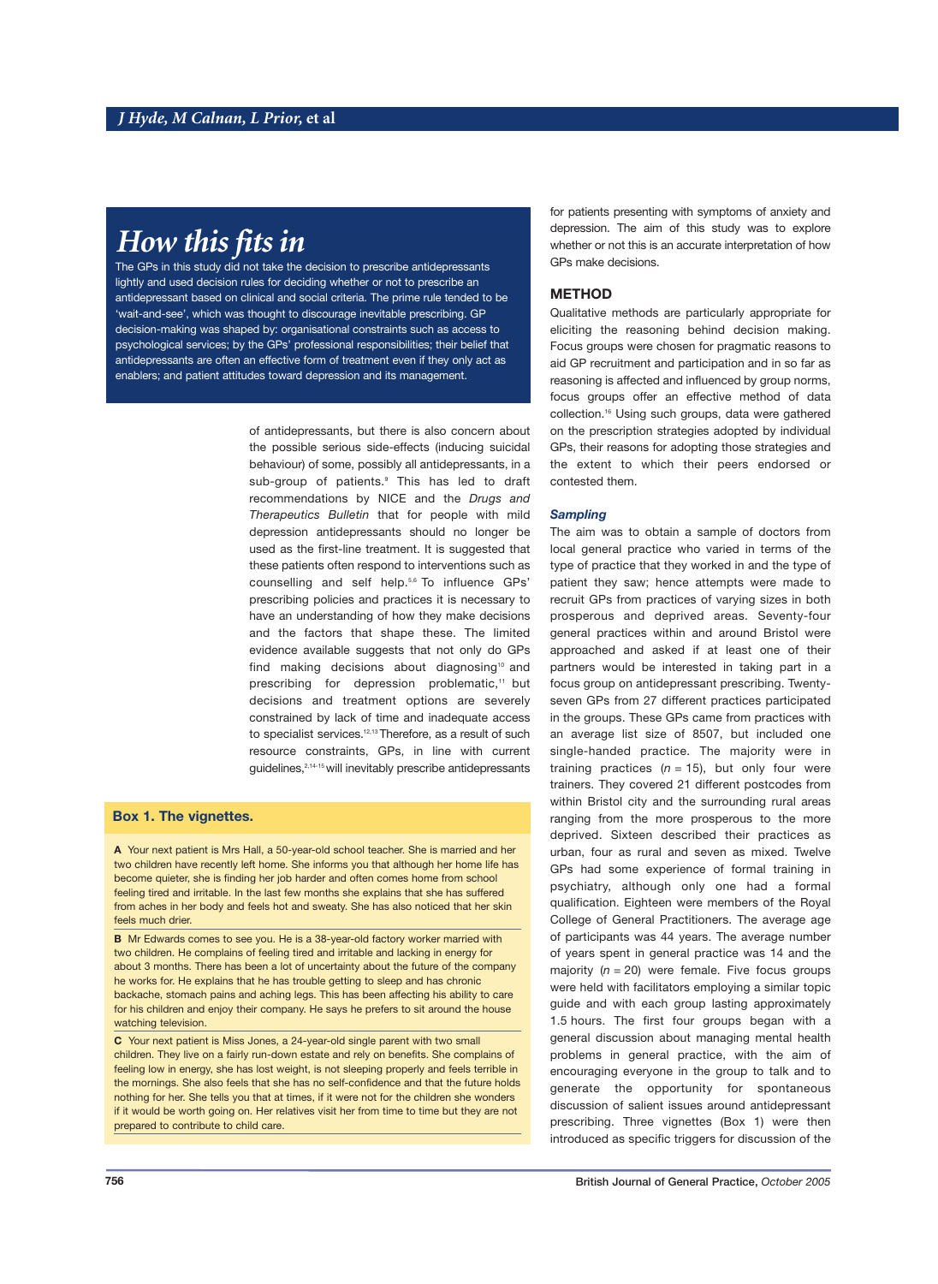# *How this fits in*

The GPs in this study did not take the decision to prescribe antidepressants lightly and used decision rules for deciding whether or not to prescribe an antidepressant based on clinical and social criteria. The prime rule tended to be 'wait-and-see', which was thought to discourage inevitable prescribing. GP decision-making was shaped by: organisational constraints such as access to psychological services; by the GPs' professional responsibilities; their belief that antidepressants are often an effective form of treatment even if they only act as enablers; and patient attitudes toward depression and its management.

> of antidepressants, but there is also concern about the possible serious side-effects (inducing suicidal behaviour) of some, possibly all antidepressants, in a sub-group of patients.<sup>9</sup> This has led to draft recommendations by NICE and the *Drugs and Therapeutics Bulletin* that for people with mild depression antidepressants should no longer be used as the first-line treatment. It is suggested that these patients often respond to interventions such as counselling and self help.5,6 To influence GPs' prescribing policies and practices it is necessary to have an understanding of how they make decisions and the factors that shape these. The limited evidence available suggests that not only do GPs find making decisions about diagnosing<sup>10</sup> and prescribing for depression problematic,<sup>11</sup> but decisions and treatment options are severely constrained by lack of time and inadequate access to specialist services.<sup>12,13</sup> Therefore, as a result of such resource constraints, GPs, in line with current guidelines,2,14-15 will inevitably prescribe antidepressants

# **Box 1. The vignettes.**

**A** Your next patient is Mrs Hall, a 50-year-old school teacher. She is married and her two children have recently left home. She informs you that although her home life has become quieter, she is finding her job harder and often comes home from school feeling tired and irritable. In the last few months she explains that she has suffered from aches in her body and feels hot and sweaty. She has also noticed that her skin feels much drier.

**B** Mr Edwards comes to see you. He is a 38-year-old factory worker married with two children. He complains of feeling tired and irritable and lacking in energy for about 3 months. There has been a lot of uncertainty about the future of the company he works for. He explains that he has trouble getting to sleep and has chronic backache, stomach pains and aching legs. This has been affecting his ability to care for his children and enjoy their company. He says he prefers to sit around the house watching television.

**C** Your next patient is Miss Jones, a 24-year-old single parent with two small children. They live on a fairly run-down estate and rely on benefits. She complains of feeling low in energy, she has lost weight, is not sleeping properly and feels terrible in the mornings. She also feels that she has no self-confidence and that the future holds nothing for her. She tells you that at times, if it were not for the children she wonders if it would be worth going on. Her relatives visit her from time to time but they are not prepared to contribute to child care.

for patients presenting with symptoms of anxiety and depression. The aim of this study was to explore whether or not this is an accurate interpretation of how GPs make decisions.

# **METHOD**

Qualitative methods are particularly appropriate for eliciting the reasoning behind decision making. Focus groups were chosen for pragmatic reasons to aid GP recruitment and participation and in so far as reasoning is affected and influenced by group norms, focus groups offer an effective method of data collection.16 Using such groups, data were gathered on the prescription strategies adopted by individual GPs, their reasons for adopting those strategies and the extent to which their peers endorsed or contested them.

# *Sampling*

The aim was to obtain a sample of doctors from local general practice who varied in terms of the type of practice that they worked in and the type of patient they saw; hence attempts were made to recruit GPs from practices of varying sizes in both prosperous and deprived areas. Seventy-four general practices within and around Bristol were approached and asked if at least one of their partners would be interested in taking part in a focus group on antidepressant prescribing. Twentyseven GPs from 27 different practices participated in the groups. These GPs came from practices with an average list size of 8507, but included one single-handed practice. The majority were in training practices  $(n = 15)$ , but only four were trainers. They covered 21 different postcodes from within Bristol city and the surrounding rural areas ranging from the more prosperous to the more deprived. Sixteen described their practices as urban, four as rural and seven as mixed. Twelve GPs had some experience of formal training in psychiatry, although only one had a formal qualification. Eighteen were members of the Royal College of General Practitioners. The average age of participants was 44 years. The average number of years spent in general practice was 14 and the majority  $(n = 20)$  were female. Five focus groups were held with facilitators employing a similar topic guide and with each group lasting approximately 1.5 hours. The first four groups began with a general discussion about managing mental health problems in general practice, with the aim of encouraging everyone in the group to talk and to generate the opportunity for spontaneous discussion of salient issues around antidepressant prescribing. Three vignettes (Box 1) were then introduced as specific triggers for discussion of the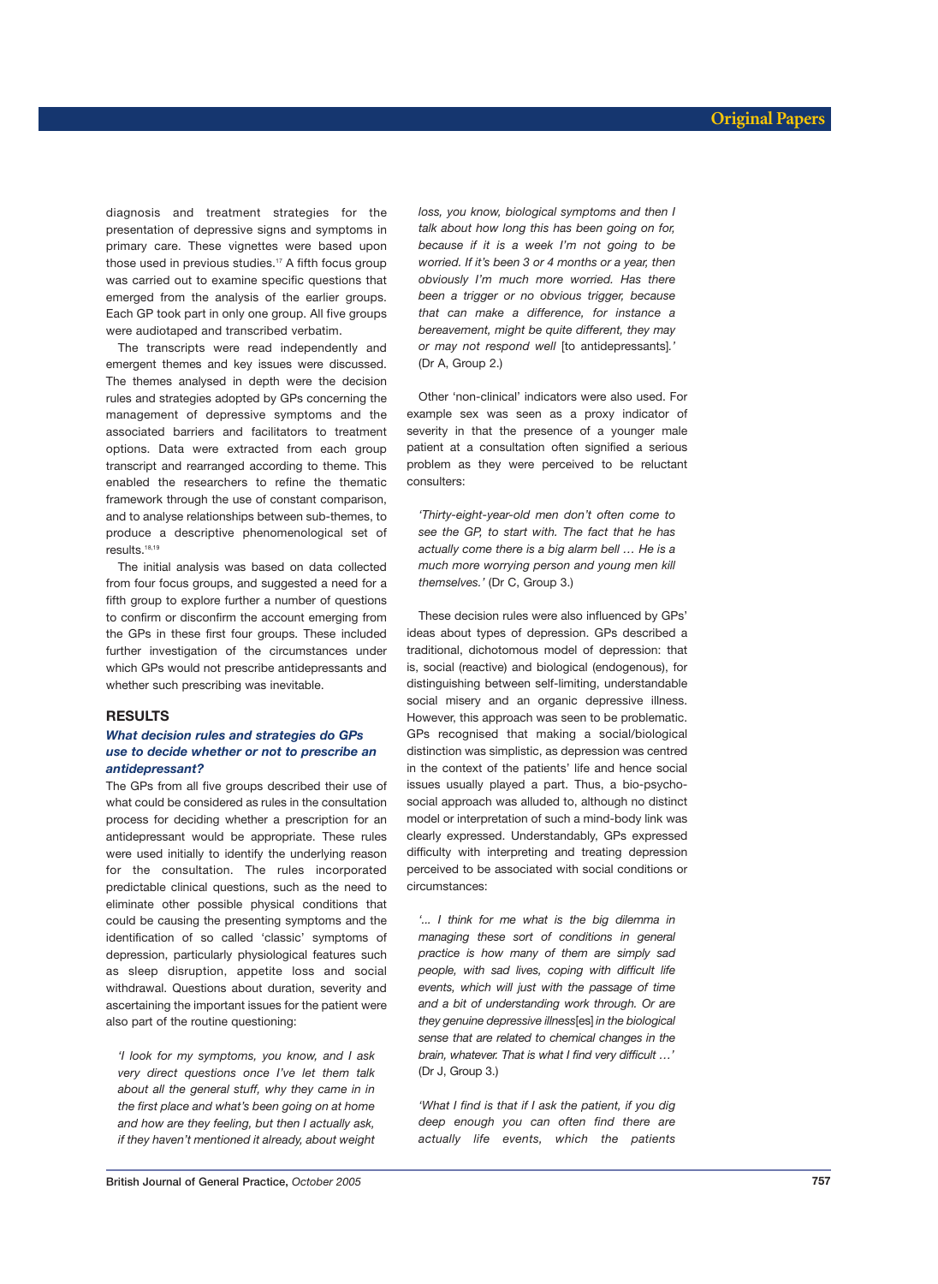diagnosis and treatment strategies for the presentation of depressive signs and symptoms in primary care. These vignettes were based upon those used in previous studies.<sup>17</sup> A fifth focus group was carried out to examine specific questions that emerged from the analysis of the earlier groups. Each GP took part in only one group. All five groups were audiotaped and transcribed verbatim.

The transcripts were read independently and emergent themes and key issues were discussed. The themes analysed in depth were the decision rules and strategies adopted by GPs concerning the management of depressive symptoms and the associated barriers and facilitators to treatment options. Data were extracted from each group transcript and rearranged according to theme. This enabled the researchers to refine the thematic framework through the use of constant comparison, and to analyse relationships between sub-themes, to produce a descriptive phenomenological set of results.<sup>18,19</sup>

The initial analysis was based on data collected from four focus groups, and suggested a need for a fifth group to explore further a number of questions to confirm or disconfirm the account emerging from the GPs in these first four groups. These included further investigation of the circumstances under which GPs would not prescribe antidepressants and whether such prescribing was inevitable.

#### **RESULTS**

# *What decision rules and strategies do GPs use to decide whether or not to prescribe an antidepressant?*

The GPs from all five groups described their use of what could be considered as rules in the consultation process for deciding whether a prescription for an antidepressant would be appropriate. These rules were used initially to identify the underlying reason for the consultation. The rules incorporated predictable clinical questions, such as the need to eliminate other possible physical conditions that could be causing the presenting symptoms and the identification of so called 'classic' symptoms of depression, particularly physiological features such as sleep disruption, appetite loss and social withdrawal. Questions about duration, severity and ascertaining the important issues for the patient were also part of the routine questioning:

*'I look for my symptoms, you know, and I ask very direct questions once I've let them talk about all the general stuff, why they came in in the first place and what's been going on at home and how are they feeling, but then I actually ask, if they haven't mentioned it already, about weight* *loss, you know, biological symptoms and then I talk about how long this has been going on for, because if it is a week I'm not going to be worried. If it's been 3 or 4 months or a year, then obviously I'm much more worried. Has there been a trigger or no obvious trigger, because that can make a difference, for instance a bereavement, might be quite different, they may or may not respond well* [to antidepressants]*.'* (Dr A, Group 2.)

Other 'non-clinical' indicators were also used. For example sex was seen as a proxy indicator of severity in that the presence of a younger male patient at a consultation often signified a serious problem as they were perceived to be reluctant consulters:

*'Thirty-eight-year-old men don't often come to see the GP, to start with. The fact that he has actually come there is a big alarm bell … He is a much more worrying person and young men kill themselves.'* (Dr C, Group 3.)

These decision rules were also influenced by GPs' ideas about types of depression. GPs described a traditional, dichotomous model of depression: that is, social (reactive) and biological (endogenous), for distinguishing between self-limiting, understandable social misery and an organic depressive illness. However, this approach was seen to be problematic. GPs recognised that making a social/biological distinction was simplistic, as depression was centred in the context of the patients' life and hence social issues usually played a part. Thus, a bio-psychosocial approach was alluded to, although no distinct model or interpretation of such a mind-body link was clearly expressed. Understandably, GPs expressed difficulty with interpreting and treating depression perceived to be associated with social conditions or circumstances:

*'... I think for me what is the big dilemma in managing these sort of conditions in general practice is how many of them are simply sad people, with sad lives, coping with difficult life events, which will just with the passage of time and a bit of understanding work through. Or are they genuine depressive illness*[es] *in the biological sense that are related to chemical changes in the brain, whatever. That is what I find very difficult …'*  (Dr J, Group 3.)

*'What I find is that if I ask the patient, if you dig deep enough you can often find there are actually life events, which the patients*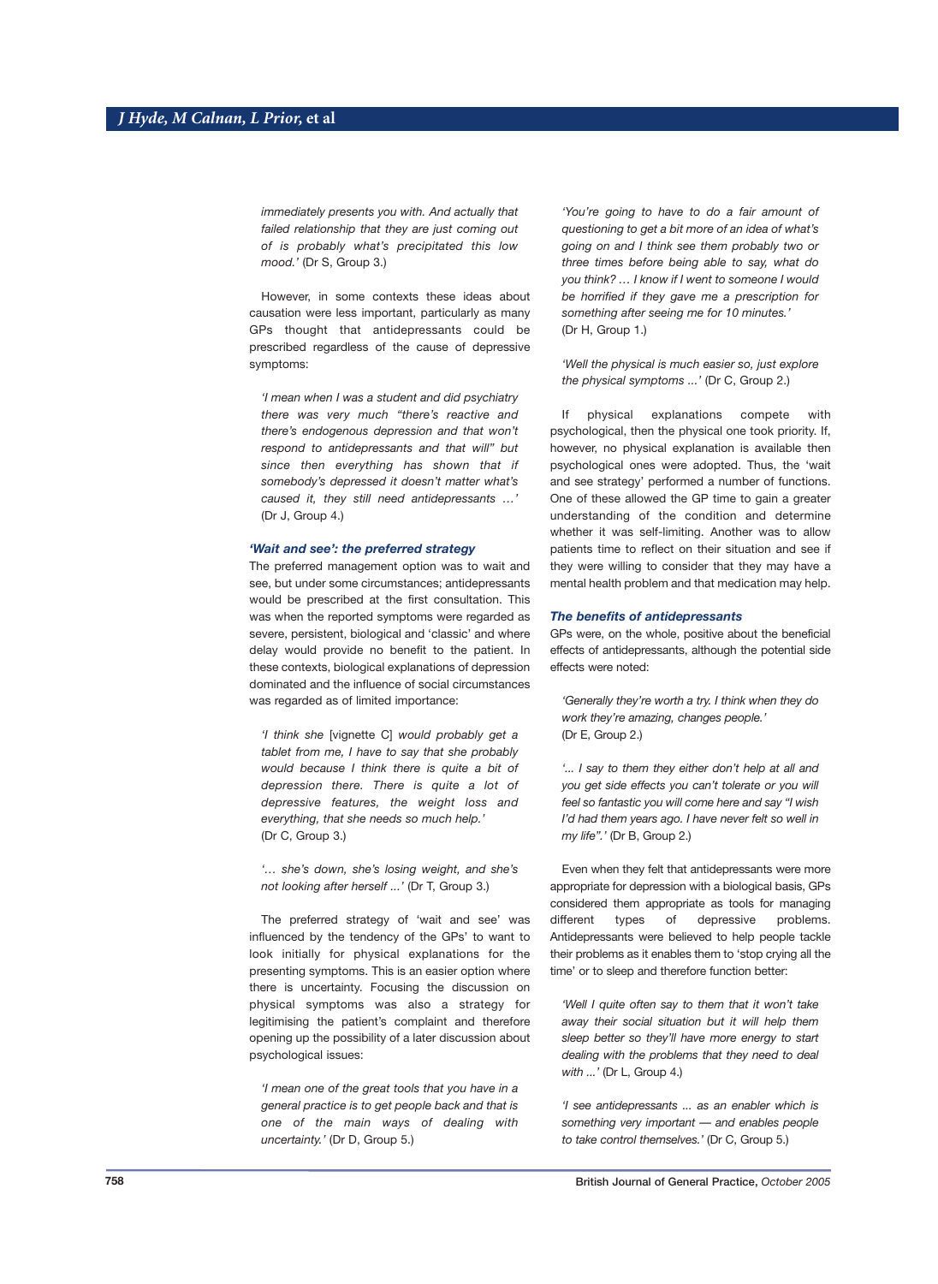*immediately presents you with. And actually that failed relationship that they are just coming out of is probably what's precipitated this low mood.'* (Dr S, Group 3.)

However, in some contexts these ideas about causation were less important, particularly as many GPs thought that antidepressants could be prescribed regardless of the cause of depressive symptoms:

*'I mean when I was a student and did psychiatry there was very much "there's reactive and there's endogenous depression and that won't respond to antidepressants and that will" but since then everything has shown that if somebody's depressed it doesn't matter what's caused it, they still need antidepressants …'* (Dr J, Group 4.)

# *'Wait and see': the preferred strategy*

The preferred management option was to wait and see, but under some circumstances; antidepressants would be prescribed at the first consultation. This was when the reported symptoms were regarded as severe, persistent, biological and 'classic' and where delay would provide no benefit to the patient. In these contexts, biological explanations of depression dominated and the influence of social circumstances was regarded as of limited importance:

*'I think she* [vignette C] *would probably get a tablet from me, I have to say that she probably would because I think there is quite a bit of depression there. There is quite a lot of depressive features, the weight loss and everything, that she needs so much help.'*  (Dr C, Group 3.)

*'… she's down, she's losing weight, and she's not looking after herself ...'* (Dr T, Group 3.)

The preferred strategy of 'wait and see' was influenced by the tendency of the GPs' to want to look initially for physical explanations for the presenting symptoms. This is an easier option where there is uncertainty. Focusing the discussion on physical symptoms was also a strategy for legitimising the patient's complaint and therefore opening up the possibility of a later discussion about psychological issues:

*'I mean one of the great tools that you have in a general practice is to get people back and that is one of the main ways of dealing with uncertainty.'* (Dr D, Group 5.)

*'You're going to have to do a fair amount of questioning to get a bit more of an idea of what's going on and I think see them probably two or three times before being able to say, what do you think? … I know if I went to someone I would be horrified if they gave me a prescription for something after seeing me for 10 minutes.'*  (Dr H, Group 1.)

*'Well the physical is much easier so, just explore the physical symptoms ...'* (Dr C, Group 2.)

If physical explanations compete with psychological, then the physical one took priority. If, however, no physical explanation is available then psychological ones were adopted. Thus, the 'wait and see strategy' performed a number of functions. One of these allowed the GP time to gain a greater understanding of the condition and determine whether it was self-limiting. Another was to allow patients time to reflect on their situation and see if they were willing to consider that they may have a mental health problem and that medication may help.

#### *The benefits of antidepressants*

GPs were, on the whole, positive about the beneficial effects of antidepressants, although the potential side effects were noted:

*'Generally they're worth a try. I think when they do work they're amazing, changes people.'* (Dr E, Group 2.)

*'... I say to them they either don't help at all and you get side effects you can't tolerate or you will feel so fantastic you will come here and say "I wish I'd had them years ago. I have never felt so well in my life".'* (Dr B, Group 2.)

Even when they felt that antidepressants were more appropriate for depression with a biological basis, GPs considered them appropriate as tools for managing different types of depressive problems. Antidepressants were believed to help people tackle their problems as it enables them to 'stop crying all the time' or to sleep and therefore function better:

*'Well I quite often say to them that it won't take away their social situation but it will help them sleep better so they'll have more energy to start dealing with the problems that they need to deal with ...'* (Dr L, Group 4.)

*'I see antidepressants ... as an enabler which is something very important — and enables people to take control themselves.'* (Dr C, Group 5.)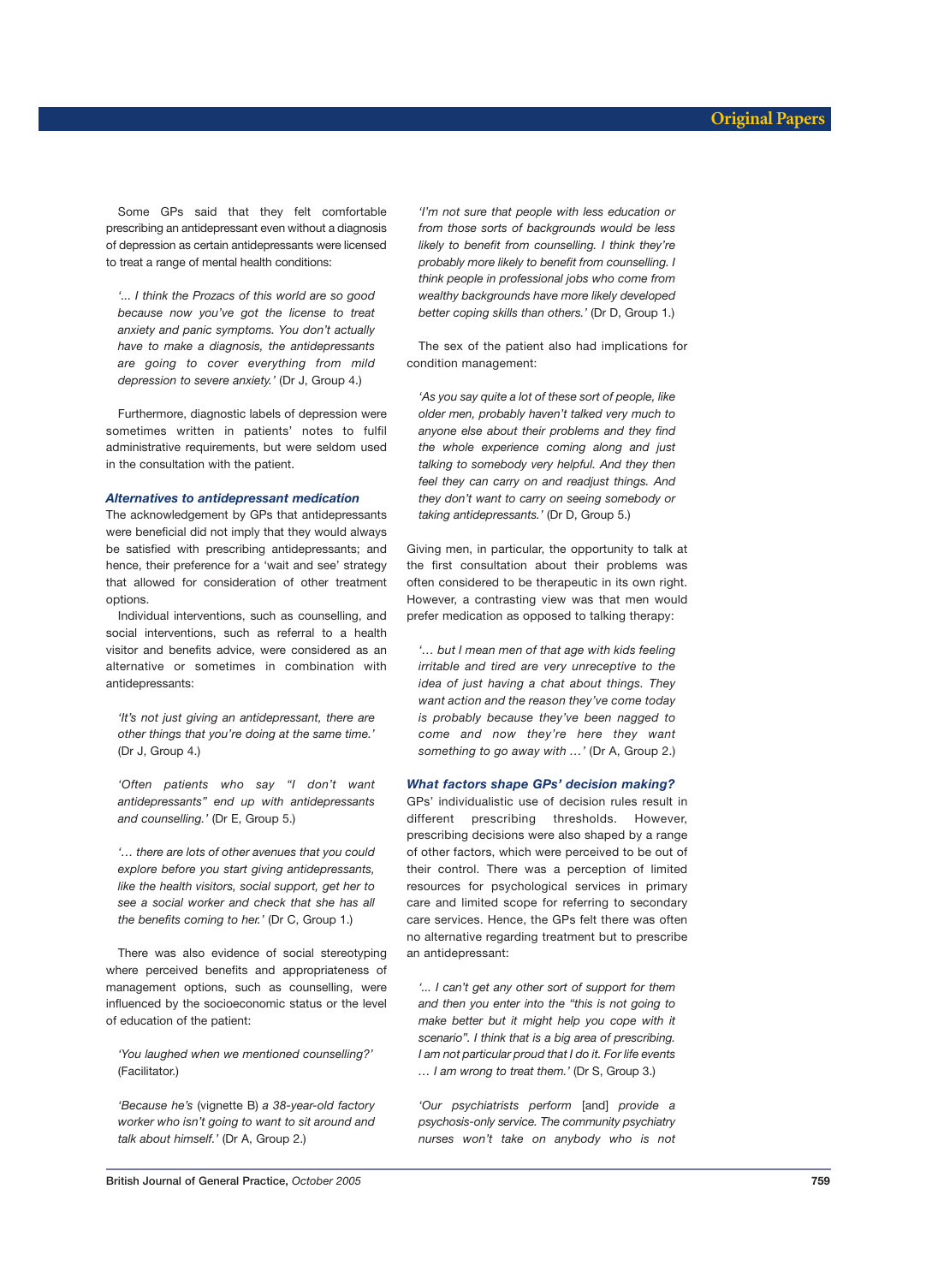Some GPs said that they felt comfortable prescribing an antidepressant even without a diagnosis of depression as certain antidepressants were licensed to treat a range of mental health conditions:

*'... I think the Prozacs of this world are so good because now you've got the license to treat anxiety and panic symptoms. You don't actually have to make a diagnosis, the antidepressants are going to cover everything from mild depression to severe anxiety.'* (Dr J, Group 4.)

Furthermore, diagnostic labels of depression were sometimes written in patients' notes to fulfil administrative requirements, but were seldom used in the consultation with the patient.

#### *Alternatives to antidepressant medication*

The acknowledgement by GPs that antidepressants were beneficial did not imply that they would always be satisfied with prescribing antidepressants; and hence, their preference for a 'wait and see' strategy that allowed for consideration of other treatment options.

Individual interventions, such as counselling, and social interventions, such as referral to a health visitor and benefits advice, were considered as an alternative or sometimes in combination with antidepressants:

*'It's not just giving an antidepressant, there are other things that you're doing at the same time.'* (Dr J, Group 4.)

*'Often patients who say "I don't want antidepressants" end up with antidepressants and counselling.'* (Dr E, Group 5.)

*'… there are lots of other avenues that you could explore before you start giving antidepressants, like the health visitors, social support, get her to see a social worker and check that she has all the benefits coming to her.'* (Dr C, Group 1.)

There was also evidence of social stereotyping where perceived benefits and appropriateness of management options, such as counselling, were influenced by the socioeconomic status or the level of education of the patient:

*'You laughed when we mentioned counselling?'*  (Facilitator.)

*'Because he's* (vignette B) *a 38-year-old factory worker who isn't going to want to sit around and talk about himself.'* (Dr A, Group 2.)

*'I'm not sure that people with less education or from those sorts of backgrounds would be less likely to benefit from counselling. I think they're probably more likely to benefit from counselling. I think people in professional jobs who come from wealthy backgrounds have more likely developed better coping skills than others.'* (Dr D, Group 1.)

The sex of the patient also had implications for condition management:

*'As you say quite a lot of these sort of people, like older men, probably haven't talked very much to anyone else about their problems and they find the whole experience coming along and just talking to somebody very helpful. And they then feel they can carry on and readjust things. And they don't want to carry on seeing somebody or taking antidepressants.'* (Dr D, Group 5.)

Giving men, in particular, the opportunity to talk at the first consultation about their problems was often considered to be therapeutic in its own right. However, a contrasting view was that men would prefer medication as opposed to talking therapy:

*'… but I mean men of that age with kids feeling irritable and tired are very unreceptive to the idea of just having a chat about things. They want action and the reason they've come today is probably because they've been nagged to come and now they're here they want something to go away with …'* (Dr A, Group 2.)

#### *What factors shape GPs' decision making?*

GPs' individualistic use of decision rules result in different prescribing thresholds. However, prescribing decisions were also shaped by a range of other factors, which were perceived to be out of their control. There was a perception of limited resources for psychological services in primary care and limited scope for referring to secondary care services. Hence, the GPs felt there was often no alternative regarding treatment but to prescribe an antidepressant:

*'... I can't get any other sort of support for them and then you enter into the "this is not going to make better but it might help you cope with it scenario". I think that is a big area of prescribing. I am not particular proud that I do it. For life events … I am wrong to treat them.'* (Dr S, Group 3.)

*'Our psychiatrists perform* [and] *provide a psychosis-only service. The community psychiatry nurses won't take on anybody who is not*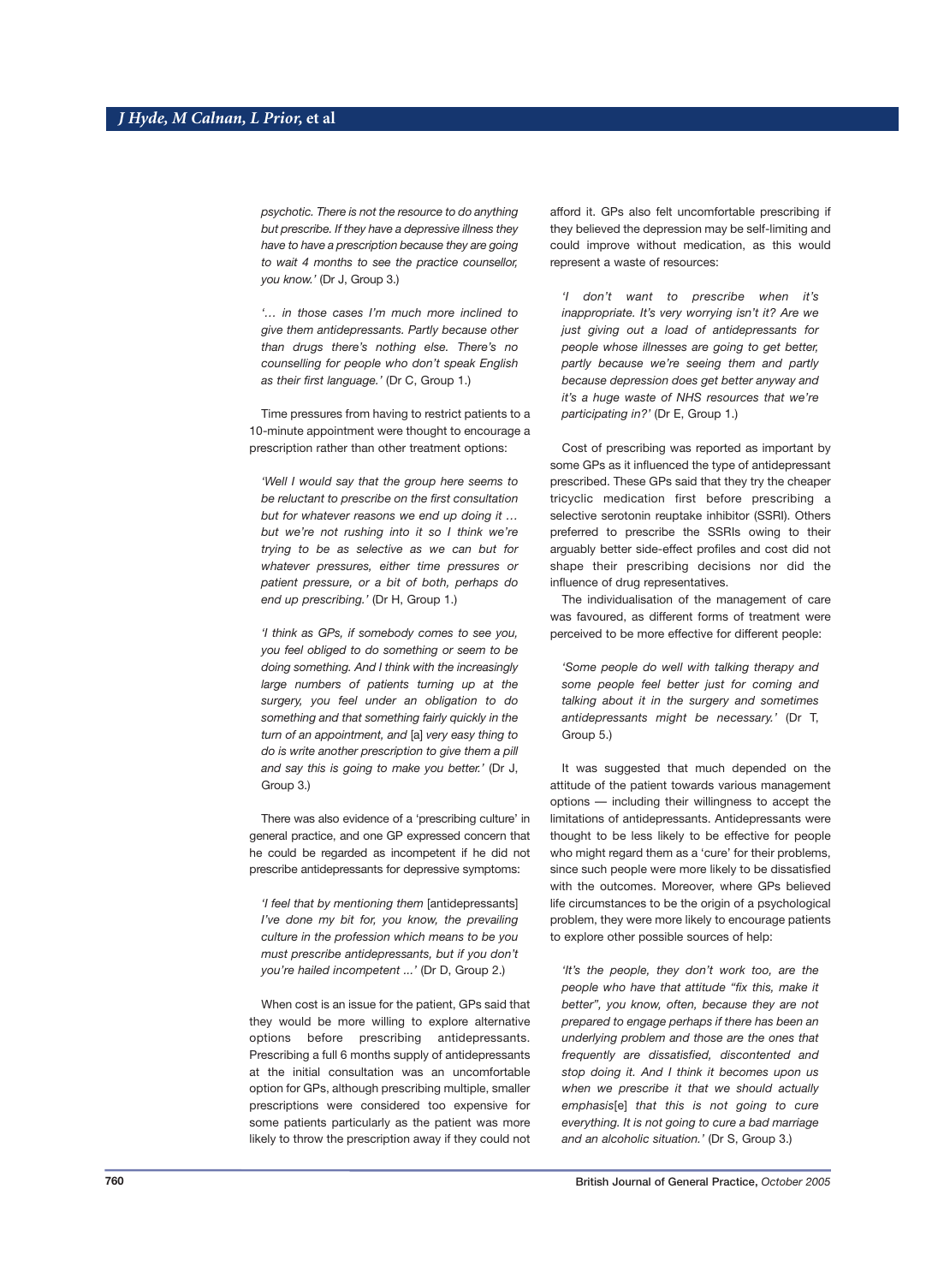*psychotic. There is not the resource to do anything but prescribe. If they have a depressive illness they have to have a prescription because they are going to wait 4 months to see the practice counsellor, you know.'* (Dr J, Group 3.)

*'… in those cases I'm much more inclined to give them antidepressants. Partly because other than drugs there's nothing else. There's no counselling for people who don't speak English as their first language.'* (Dr C, Group 1.)

Time pressures from having to restrict patients to a 10-minute appointment were thought to encourage a prescription rather than other treatment options:

*'Well I would say that the group here seems to be reluctant to prescribe on the first consultation but for whatever reasons we end up doing it … but we're not rushing into it so I think we're trying to be as selective as we can but for whatever pressures, either time pressures or patient pressure, or a bit of both, perhaps do end up prescribing.'* (Dr H, Group 1.)

*'I think as GPs, if somebody comes to see you, you feel obliged to do something or seem to be doing something. And I think with the increasingly large numbers of patients turning up at the surgery, you feel under an obligation to do something and that something fairly quickly in the turn of an appointment, and* [a] *very easy thing to do is write another prescription to give them a pill and say this is going to make you better.'* (Dr J, Group 3.)

There was also evidence of a 'prescribing culture' in general practice, and one GP expressed concern that he could be regarded as incompetent if he did not prescribe antidepressants for depressive symptoms:

*'I feel that by mentioning them* [antidepressants] *I've done my bit for, you know, the prevailing culture in the profession which means to be you must prescribe antidepressants, but if you don't you're hailed incompetent ...'* (Dr D, Group 2.)

When cost is an issue for the patient, GPs said that they would be more willing to explore alternative options before prescribing antidepressants. Prescribing a full 6 months supply of antidepressants at the initial consultation was an uncomfortable option for GPs, although prescribing multiple, smaller prescriptions were considered too expensive for some patients particularly as the patient was more likely to throw the prescription away if they could not afford it. GPs also felt uncomfortable prescribing if they believed the depression may be self-limiting and could improve without medication, as this would represent a waste of resources:

*'I don't want to prescribe when it's inappropriate. It's very worrying isn't it? Are we just giving out a load of antidepressants for people whose illnesses are going to get better, partly because we're seeing them and partly because depression does get better anyway and it's a huge waste of NHS resources that we're participating in?'* (Dr E, Group 1.)

Cost of prescribing was reported as important by some GPs as it influenced the type of antidepressant prescribed. These GPs said that they try the cheaper tricyclic medication first before prescribing a selective serotonin reuptake inhibitor (SSRI). Others preferred to prescribe the SSRIs owing to their arguably better side-effect profiles and cost did not shape their prescribing decisions nor did the influence of drug representatives.

The individualisation of the management of care was favoured, as different forms of treatment were perceived to be more effective for different people:

*'Some people do well with talking therapy and some people feel better just for coming and talking about it in the surgery and sometimes antidepressants might be necessary.'* (Dr T, Group 5.)

It was suggested that much depended on the attitude of the patient towards various management options — including their willingness to accept the limitations of antidepressants. Antidepressants were thought to be less likely to be effective for people who might regard them as a 'cure' for their problems, since such people were more likely to be dissatisfied with the outcomes. Moreover, where GPs believed life circumstances to be the origin of a psychological problem, they were more likely to encourage patients to explore other possible sources of help:

*'It's the people, they don't work too, are the people who have that attitude "fix this, make it better", you know, often, because they are not prepared to engage perhaps if there has been an underlying problem and those are the ones that frequently are dissatisfied, discontented and stop doing it. And I think it becomes upon us when we prescribe it that we should actually emphasis*[e] *that this is not going to cure everything. It is not going to cure a bad marriage and an alcoholic situation.'* (Dr S, Group 3.)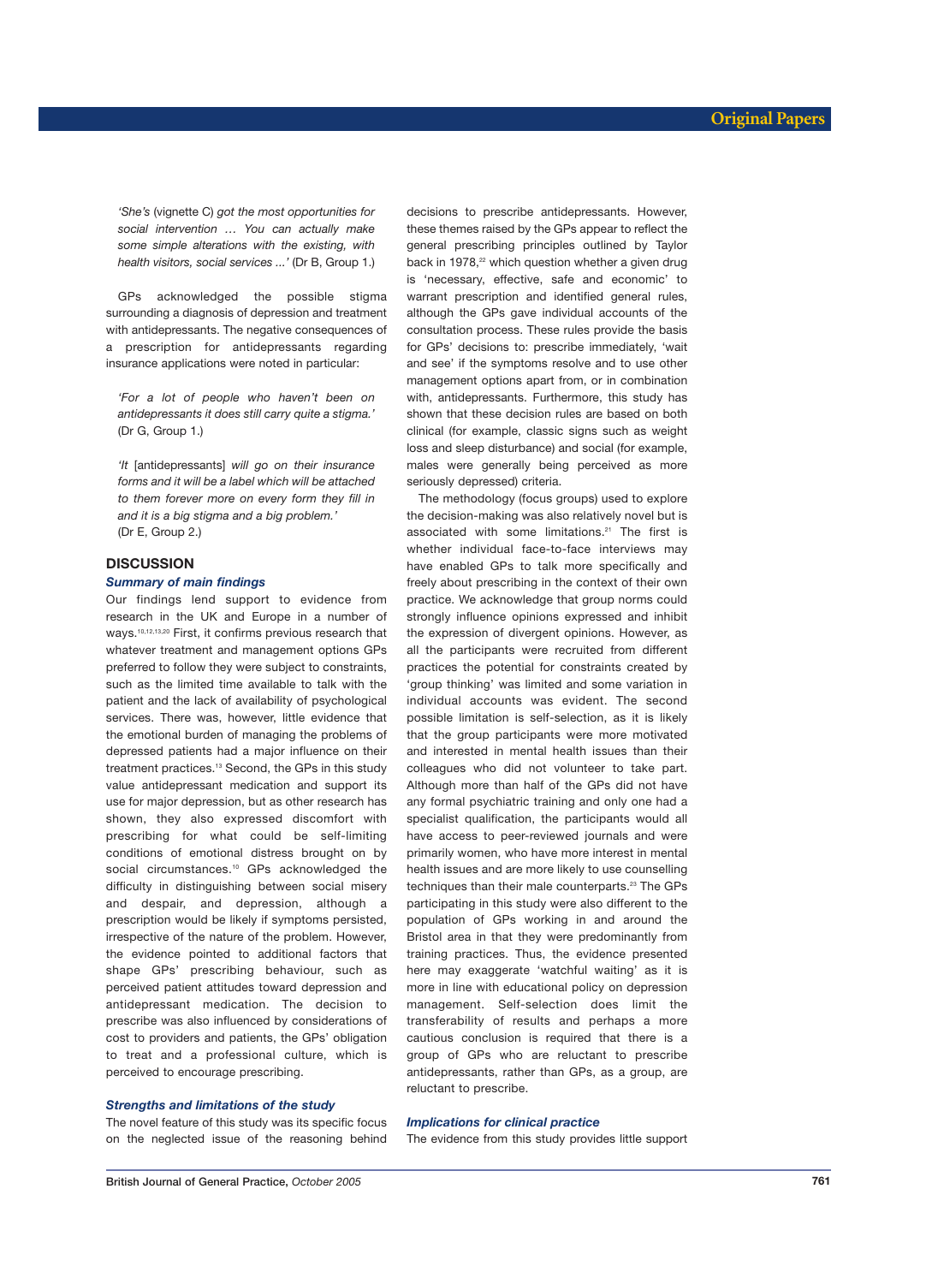*'She's* (vignette C) *got the most opportunities for social intervention … You can actually make some simple alterations with the existing, with health visitors, social services ...'* (Dr B, Group 1.)

GPs acknowledged the possible stigma surrounding a diagnosis of depression and treatment with antidepressants. The negative consequences of a prescription for antidepressants regarding insurance applications were noted in particular:

*'For a lot of people who haven't been on antidepressants it does still carry quite a stigma.'*  (Dr G, Group 1.)

*'It* [antidepressants] *will go on their insurance forms and it will be a label which will be attached to them forever more on every form they fill in and it is a big stigma and a big problem.'*  (Dr E, Group 2.)

# **DISCUSSION**

#### *Summary of main findings*

Our findings lend support to evidence from research in the UK and Europe in a number of ways.10,12,13,20 First, it confirms previous research that whatever treatment and management options GPs preferred to follow they were subject to constraints, such as the limited time available to talk with the patient and the lack of availability of psychological services. There was, however, little evidence that the emotional burden of managing the problems of depressed patients had a major influence on their treatment practices.<sup>13</sup> Second, the GPs in this study value antidepressant medication and support its use for major depression, but as other research has shown, they also expressed discomfort with prescribing for what could be self-limiting conditions of emotional distress brought on by social circumstances.<sup>10</sup> GPs acknowledged the difficulty in distinguishing between social misery and despair, and depression, although a prescription would be likely if symptoms persisted, irrespective of the nature of the problem. However, the evidence pointed to additional factors that shape GPs' prescribing behaviour, such as perceived patient attitudes toward depression and antidepressant medication. The decision to prescribe was also influenced by considerations of cost to providers and patients, the GPs' obligation to treat and a professional culture, which is perceived to encourage prescribing.

# *Strengths and limitations of the study*

The novel feature of this study was its specific focus on the neglected issue of the reasoning behind decisions to prescribe antidepressants. However, these themes raised by the GPs appear to reflect the general prescribing principles outlined by Taylor back in 1978.<sup>22</sup> which question whether a given drug is 'necessary, effective, safe and economic' to warrant prescription and identified general rules, although the GPs gave individual accounts of the consultation process. These rules provide the basis for GPs' decisions to: prescribe immediately, 'wait and see' if the symptoms resolve and to use other management options apart from, or in combination with, antidepressants. Furthermore, this study has shown that these decision rules are based on both clinical (for example, classic signs such as weight loss and sleep disturbance) and social (for example, males were generally being perceived as more seriously depressed) criteria.

The methodology (focus groups) used to explore the decision-making was also relatively novel but is associated with some limitations.<sup>21</sup> The first is whether individual face-to-face interviews may have enabled GPs to talk more specifically and freely about prescribing in the context of their own practice. We acknowledge that group norms could strongly influence opinions expressed and inhibit the expression of divergent opinions. However, as all the participants were recruited from different practices the potential for constraints created by 'group thinking' was limited and some variation in individual accounts was evident. The second possible limitation is self-selection, as it is likely that the group participants were more motivated and interested in mental health issues than their colleagues who did not volunteer to take part. Although more than half of the GPs did not have any formal psychiatric training and only one had a specialist qualification, the participants would all have access to peer-reviewed journals and were primarily women, who have more interest in mental health issues and are more likely to use counselling techniques than their male counterparts.<sup>23</sup> The GPs participating in this study were also different to the population of GPs working in and around the Bristol area in that they were predominantly from training practices. Thus, the evidence presented here may exaggerate 'watchful waiting' as it is more in line with educational policy on depression management. Self-selection does limit the transferability of results and perhaps a more cautious conclusion is required that there is a group of GPs who are reluctant to prescribe antidepressants, rather than GPs, as a group, are reluctant to prescribe.

# *Implications for clinical practice*

The evidence from this study provides little support